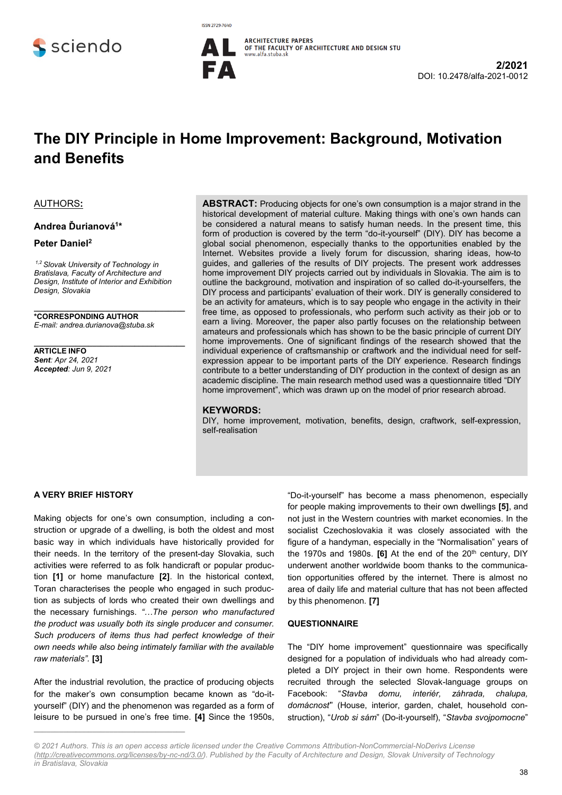





# **The DIY Principle in Home Improvement: Background, Motivation and Benefits**

#### AUTHORS**:**

#### **Andrea Ďurianová<sup>1</sup> \***

### **Peter Daniel<sup>2</sup>**

*1,2 Slovak University of Technology in Bratislava, Faculty of Architecture and Design, Institute of Interior and Exhibition Design, Slovakia*

**\_\_\_\_\_\_\_\_\_\_\_\_\_\_\_\_\_\_\_\_\_\_\_\_\_\_\_\_\_\_\_\_\_\_\_\_**

**\_\_\_\_\_\_\_\_\_\_\_\_\_\_\_\_\_\_\_\_\_\_\_\_\_\_\_\_\_\_\_\_\_\_\_\_ \*CORRESPONDING AUTHOR** *E-mail: andrea.durianova@stuba.sk*

**ARTICLE INFO** *Sent: Apr 24, 2021 Accepted: Jun 9, 2021* **ABSTRACT:** Producing objects for one's own consumption is a major strand in the historical development of material culture. Making things with one's own hands can be considered a natural means to satisfy human needs. In the present time, this form of production is covered by the term "do-it-yourself" (DIY). DIY has become a global social phenomenon, especially thanks to the opportunities enabled by the Internet. Websites provide a lively forum for discussion, sharing ideas, how-to guides, and galleries of the results of DIY projects. The present work addresses home improvement DIY projects carried out by individuals in Slovakia. The aim is to outline the background, motivation and inspiration of so called do-it-yourselfers, the DIY process and participants' evaluation of their work. DIY is generally considered to be an activity for amateurs, which is to say people who engage in the activity in their free time, as opposed to professionals, who perform such activity as their job or to earn a living. Moreover, the paper also partly focuses on the relationship between amateurs and professionals which has shown to be the basic principle of current DIY home improvements. One of significant findings of the research showed that the individual experience of craftsmanship or craftwork and the individual need for selfexpression appear to be important parts of the DIY experience. Research findings contribute to a better understanding of DIY production in the context of design as an academic discipline. The main research method used was a questionnaire titled "DIY home improvement", which was drawn up on the model of prior research abroad.

#### **KEYWORDS:**

DIY, home improvement, motivation, benefits, design, craftwork, self-expression, self-realisation

#### **A VERY BRIEF HISTORY**

Making objects for one's own consumption, including a construction or upgrade of a dwelling, is both the oldest and most basic way in which individuals have historically provided for their needs. In the territory of the present-day Slovakia, such activities were referred to as folk handicraft or popular production **[1]** or home manufacture **[2]**. In the historical context, Toran characterises the people who engaged in such production as subjects of lords who created their own dwellings and the necessary furnishings. *"…The person who manufactured the product was usually both its single producer and consumer. Such producers of items thus had perfect knowledge of their own needs while also being intimately familiar with the available raw materials".* **[3]**

After the industrial revolution, the practice of producing objects for the maker's own consumption became known as "do-ityourself" (DIY) and the phenomenon was regarded as a form of leisure to be pursued in one's free time. **[4]** Since the 1950s,

**\_\_\_\_\_\_\_\_\_\_\_\_\_\_\_\_\_\_\_\_\_\_\_\_\_\_\_\_\_\_\_\_\_\_\_\_**

"Do-it-yourself" has become a mass phenomenon, especially for people making improvements to their own dwellings **[5]**, and not just in the Western countries with market economies. In the socialist Czechoslovakia it was closely associated with the figure of a handyman, especially in the "Normalisation" years of the 1970s and 1980s. **[6]** At the end of the 20<sup>th</sup> century, DIY underwent another worldwide boom thanks to the communication opportunities offered by the internet. There is almost no area of daily life and material culture that has not been affected by this phenomenon. **[7]**

#### **QUESTIONNAIRE**

The "DIY home improvement" questionnaire was specifically designed for a population of individuals who had already completed a DIY project in their own home. Respondents were recruited through the selected Slovak-language groups on Facebook: "*Stavba domu, interiér, záhrada, chalupa, domácnosť*" (House, interior, garden, chalet, household construction), "*Urob si sám*" (Do-it-yourself), "*Stavba svojpomocne*"

*<sup>© 2021</sup> Authors. This is an open access article licensed under the Creative Commons Attribution-NonCommercial-NoDerivs License [\(http://creativecommons.org/licenses/by-nc-nd/3.0/\)](http://creativecommons.org/licenses/by-nc-nd/3.0/). Published by the Faculty of Architecture and Design, Slovak University of Technology in Bratislava, Slovakia*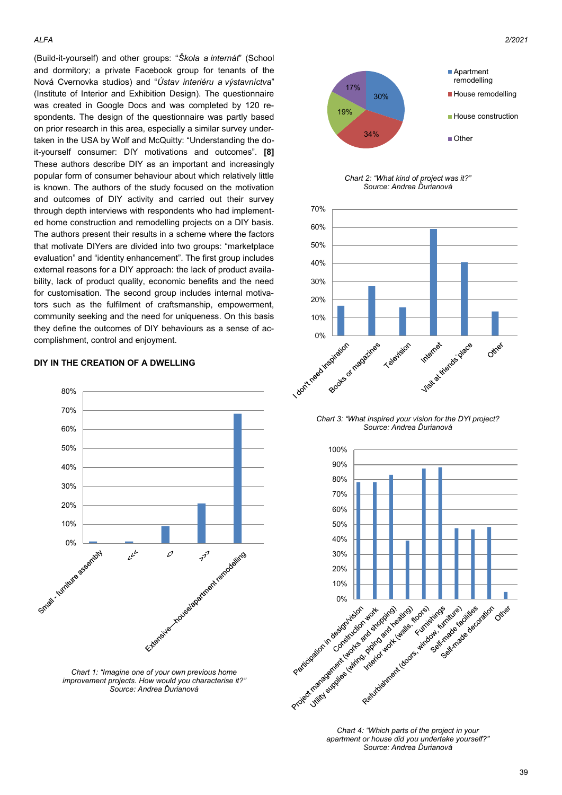(Build-it-yourself) and other groups: "*Škola a internát*" (School and dormitory; a private Facebook group for tenants of the Nová Cvernovka studios) and "*Ústav interiéru a výstavníctva*" (Institute of Interior and Exhibition Design). The questionnaire was created in Google Docs and was completed by 120 respondents. The design of the questionnaire was partly based on prior research in this area, especially a similar survey undertaken in the USA by Wolf and McQuitty: "Understanding the doit-yourself consumer: DIY motivations and outcomes". **[8]**  These authors describe DIY as an important and increasingly popular form of consumer behaviour about which relatively little is known. The authors of the study focused on the motivation and outcomes of DIY activity and carried out their survey through depth interviews with respondents who had implemented home construction and remodelling projects on a DIY basis. The authors present their results in a scheme where the factors that motivate DIYers are divided into two groups: "marketplace evaluation" and "identity enhancement". The first group includes external reasons for a DIY approach: the lack of product availability, lack of product quality, economic benefits and the need for customisation. The second group includes internal motivators such as the fulfilment of craftsmanship, empowerment, community seeking and the need for uniqueness. On this basis they define the outcomes of DIY behaviours as a sense of accomplishment, control and enjoyment.

#### **DIY IN THE CREATION OF A DWELLING**



*Chart 1: "Imagine one of your own previous home improvement projects. How would you characterise it?" Source: Andrea Ďurianová*



*Chart 2: "What kind of project was it?" Source: Andrea Ďurianová*



*Chart 3: "What inspired your vision for the DYI project? Source: Andrea Ďurianová*



*Chart 4: "Which parts of the project in your apartment or house did you undertake yourself?" Source: Andrea Ďurianová*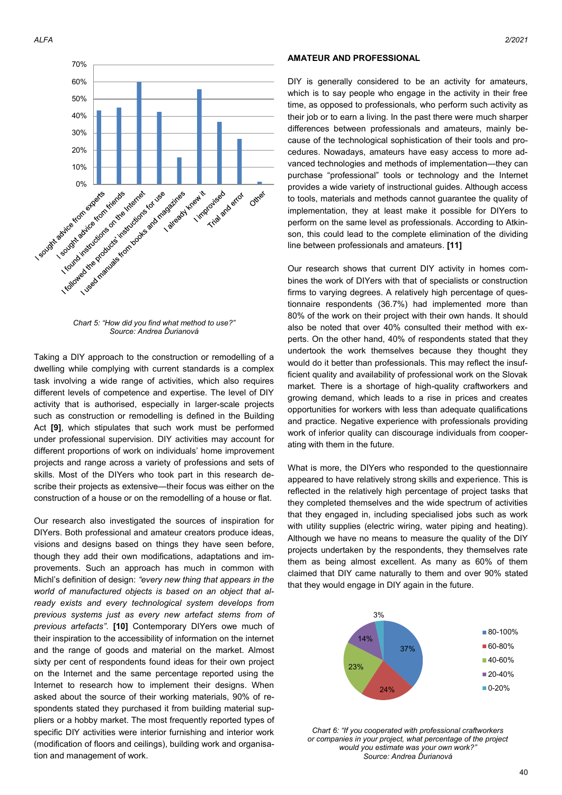

*Chart 5: "How did you find what method to use?" Source: Andrea Ďurianová*

Taking a DIY approach to the construction or remodelling of a dwelling while complying with current standards is a complex task involving a wide range of activities, which also requires different levels of competence and expertise. The level of DIY activity that is authorised, especially in larger-scale projects such as construction or remodelling is defined in the Building Act **[9]**, which stipulates that such work must be performed under professional supervision. DIY activities may account for different proportions of work on individuals' home improvement projects and range across a variety of professions and sets of skills. Most of the DIYers who took part in this research describe their projects as extensive—their focus was either on the construction of a house or on the remodelling of a house or flat.

Our research also investigated the sources of inspiration for DIYers. Both professional and amateur creators produce ideas, visions and designs based on things they have seen before, though they add their own modifications, adaptations and improvements. Such an approach has much in common with Michl's definition of design: *"every new thing that appears in the world of manufactured objects is based on an object that already exists and every technological system develops from previous systems just as every new artefact stems from of previous artefacts"*. **[10]** Contemporary DIYers owe much of their inspiration to the accessibility of information on the internet and the range of goods and material on the market. Almost sixty per cent of respondents found ideas for their own project on the Internet and the same percentage reported using the Internet to research how to implement their designs. When asked about the source of their working materials, 90% of respondents stated they purchased it from building material suppliers or a hobby market. The most frequently reported types of specific DIY activities were interior furnishing and interior work (modification of floors and ceilings), building work and organisation and management of work.

### **AMATEUR AND PROFESSIONAL**

DIY is generally considered to be an activity for amateurs, which is to say people who engage in the activity in their free time, as opposed to professionals, who perform such activity as their job or to earn a living. In the past there were much sharper differences between professionals and amateurs, mainly because of the technological sophistication of their tools and procedures. Nowadays, amateurs have easy access to more advanced technologies and methods of implementation—they can purchase "professional" tools or technology and the Internet provides a wide variety of instructional guides. Although access to tools, materials and methods cannot guarantee the quality of implementation, they at least make it possible for DIYers to perform on the same level as professionals. According to Atkinson, this could lead to the complete elimination of the dividing line between professionals and amateurs. **[11]**

Our research shows that current DIY activity in homes combines the work of DIYers with that of specialists or construction firms to varying degrees. A relatively high percentage of questionnaire respondents (36.7%) had implemented more than 80% of the work on their project with their own hands. It should also be noted that over 40% consulted their method with experts. On the other hand, 40% of respondents stated that they undertook the work themselves because they thought they would do it better than professionals. This may reflect the insufficient quality and availability of professional work on the Slovak market. There is a shortage of high-quality craftworkers and growing demand, which leads to a rise in prices and creates opportunities for workers with less than adequate qualifications and practice. Negative experience with professionals providing work of inferior quality can discourage individuals from cooperating with them in the future.

What is more, the DIYers who responded to the questionnaire appeared to have relatively strong skills and experience. This is reflected in the relatively high percentage of project tasks that they completed themselves and the wide spectrum of activities that they engaged in, including specialised jobs such as work with utility supplies (electric wiring, water piping and heating). Although we have no means to measure the quality of the DIY projects undertaken by the respondents, they themselves rate them as being almost excellent. As many as 60% of them claimed that DIY came naturally to them and over 90% stated that they would engage in DIY again in the future.



*Chart 6: "If you cooperated with professional craftworkers or companies in your project, what percentage of the project would you estimate was your own work?" Source: Andrea Ďurianová*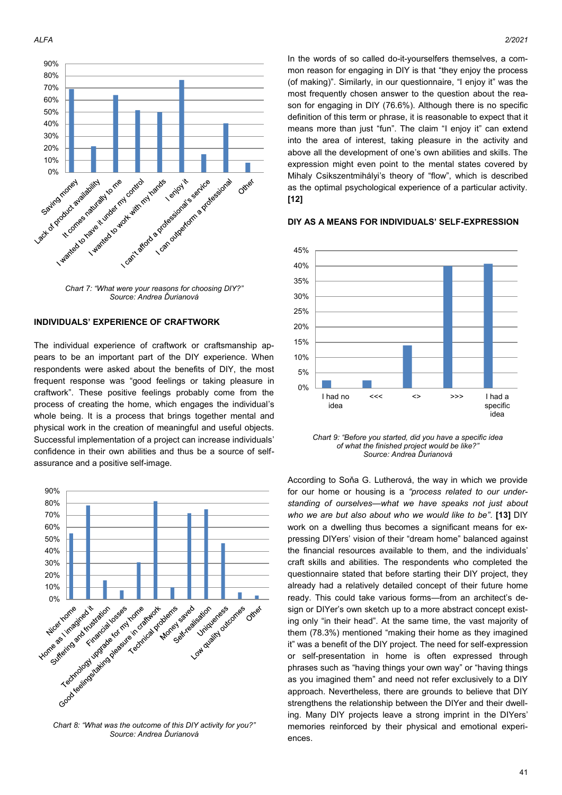



*Chart 7: "What were your reasons for choosing DIY?" Source: Andrea Ďurianová*

#### **INDIVIDUALS' EXPERIENCE OF CRAFTWORK**

The individual experience of craftwork or craftsmanship appears to be an important part of the DIY experience. When respondents were asked about the benefits of DIY, the most frequent response was "good feelings or taking pleasure in craftwork". These positive feelings probably come from the process of creating the home, which engages the individual's whole being. It is a process that brings together mental and physical work in the creation of meaningful and useful objects. Successful implementation of a project can increase individuals' confidence in their own abilities and thus be a source of selfassurance and a positive self-image.



*Source: Andrea Ďurianová*

*ALFA 2/2021*

In the words of so called do-it-yourselfers themselves, a common reason for engaging in DIY is that "they enjoy the process (of making)". Similarly, in our questionnaire, "I enjoy it" was the most frequently chosen answer to the question about the reason for engaging in DIY (76.6%). Although there is no specific definition of this term or phrase, it is reasonable to expect that it means more than just "fun". The claim "I enjoy it" can extend into the area of interest, taking pleasure in the activity and above all the development of one's own abilities and skills. The expression might even point to the mental states covered by Mihaly Csikszentmihályi's theory of "flow", which is described as the optimal psychological experience of a particular activity. **[12]**



### **DIY AS A MEANS FOR INDIVIDUALS' SELF-EXPRESSION**

*Chart 9: "Before you started, did you have a specific idea of what the finished project would be like?" Source: Andrea Ďurianová*

According to Soňa G. Lutherová, the way in which we provide for our home or housing is a *"process related to our understanding of ourselves—what we have speaks not just about who we are but also about who we would like to be"*. **[13]** DIY work on a dwelling thus becomes a significant means for expressing DIYers' vision of their "dream home" balanced against the financial resources available to them, and the individuals' craft skills and abilities. The respondents who completed the questionnaire stated that before starting their DIY project, they already had a relatively detailed concept of their future home ready. This could take various forms—from an architect's design or DIYer's own sketch up to a more abstract concept existing only "in their head". At the same time, the vast majority of them (78.3%) mentioned "making their home as they imagined it" was a benefit of the DIY project. The need for self-expression or self-presentation in home is often expressed through phrases such as "having things your own way" or "having things as you imagined them" and need not refer exclusively to a DIY approach. Nevertheless, there are grounds to believe that DIY strengthens the relationship between the DIYer and their dwelling. Many DIY projects leave a strong imprint in the DIYers' memories reinforced by their physical and emotional experiences.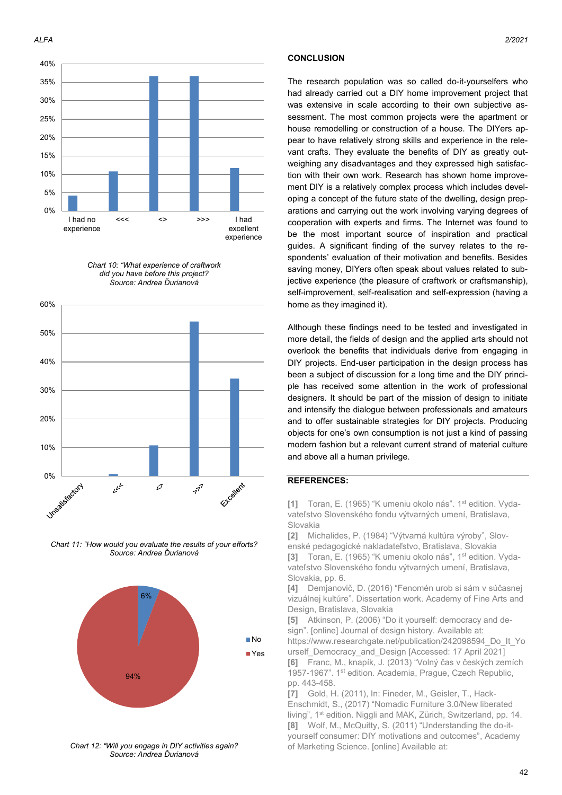





*Chart 11: "How would you evaluate the results of your efforts? Source: Andrea Ďurianová*



*Chart 12: "Will you engage in DIY activities again? Source: Andrea Ďurianová*

#### **CONCLUSION**

The research population was so called do-it-yourselfers who had already carried out a DIY home improvement project that was extensive in scale according to their own subjective assessment. The most common projects were the apartment or house remodelling or construction of a house. The DIYers appear to have relatively strong skills and experience in the relevant crafts. They evaluate the benefits of DIY as greatly outweighing any disadvantages and they expressed high satisfaction with their own work. Research has shown home improvement DIY is a relatively complex process which includes developing a concept of the future state of the dwelling, design preparations and carrying out the work involving varying degrees of cooperation with experts and firms. The Internet was found to be the most important source of inspiration and practical guides. A significant finding of the survey relates to the respondents' evaluation of their motivation and benefits. Besides saving money, DIYers often speak about values related to subjective experience (the pleasure of craftwork or craftsmanship), self-improvement, self-realisation and self-expression (having a home as they imagined it).

Although these findings need to be tested and investigated in more detail, the fields of design and the applied arts should not overlook the benefits that individuals derive from engaging in DIY projects. End-user participation in the design process has been a subject of discussion for a long time and the DIY principle has received some attention in the work of professional designers. It should be part of the mission of design to initiate and intensify the dialogue between professionals and amateurs and to offer sustainable strategies for DIY projects. Producing objects for one's own consumption is not just a kind of passing modern fashion but a relevant current strand of material culture and above all a human privilege.

## **REFERENCES:**

[1] Toran, E. (1965) "K umeniu okolo nás". 1<sup>st</sup> edition. Vydavateľstvo Slovenského fondu výtvarných umení, Bratislava, Slovakia

**[2]** Michalides, P. (1984) "Výtvarná kultúra výroby", Slovenské pedagogické nakladateľstvo, Bratislava, Slovakia

[3] Toran, E. (1965) "K umeniu okolo nás", 1<sup>st</sup> edition. Vydavateľstvo Slovenského fondu výtvarných umení, Bratislava, Slovakia, pp. 6.

**[4]** Demjanovič, D. (2016) "Fenomén urob si sám v súčasnej vizuálnej kultúre". Dissertation work. Academy of Fine Arts and Design, Bratislava, Slovakia

**[5]** Atkinson, P. (2006) "Do it yourself: democracy and design". [online] Journal of design history. Available at: https://www.researchgate.net/publication/242098594\_Do\_It\_Yo

urself Democracy and Design [Accessed: 17 April 2021] **[6]** Franc, M., knapík, J. (2013) "Volný čas v českých zemích 1957-1967". 1<sup>st</sup> edition. Academia, Prague, Czech Republic, pp. 443-458.

**[7]** Gold, H. (2011), In: Fineder, M., Geisler, T., Hack-Enschmidt, S., (2017) "Nomadic Furniture 3.0/New liberated living", 1st edition. Niggli and MAK, Zürich, Switzerland, pp. 14. **[8]** Wolf, M., McQuitty, S. (2011) "Understanding the do-ityourself consumer: DIY motivations and outcomes", Academy of Marketing Science. [online] Available at: